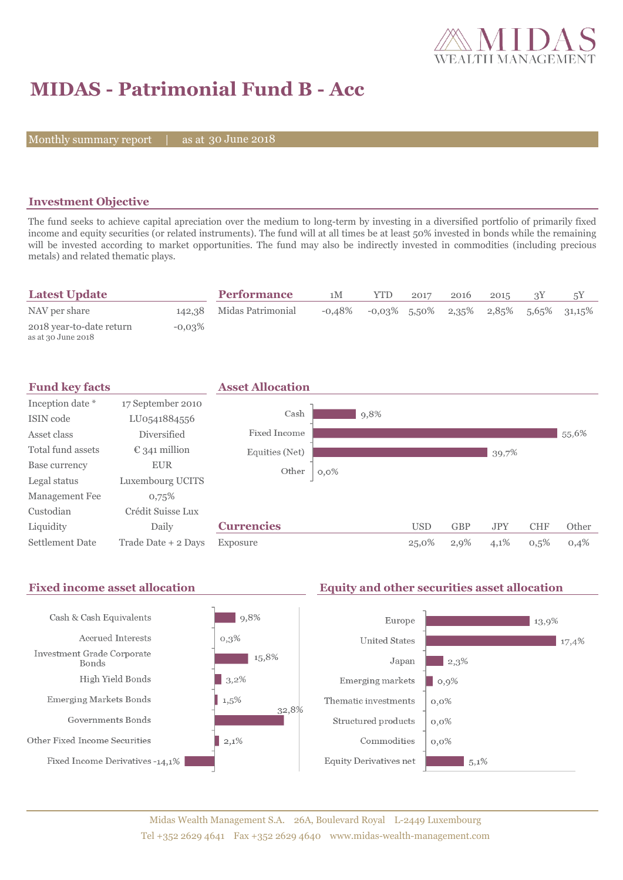

# **MIDAS - Patrimonial Fund B - Acc**

Monthly summary report | as at 30 June 2018

### **Investment Objective**

The fund seeks to achieve capital apreciation over the medium to long-term by investing in a diversified portfolio of primarily fixed income and equity securities (or related instruments). The fund will at all times be at least 50% invested in bonds while the remaining will be invested according to market opportunities. The fund may also be indirectly invested in commodities (including precious metals) and related thematic plays.

| <b>Latest Update</b>                           |           | <b>Performance</b>       | 1M     | YTD             | 2017 | 2016 | 2015 |                                      |
|------------------------------------------------|-----------|--------------------------|--------|-----------------|------|------|------|--------------------------------------|
| NAV per share                                  |           | 142,38 Midas Patrimonial | -0.48% | $-0.03\%$ 5.50% |      |      |      | $2,35\%$ $2,85\%$ $5,65\%$ $31,15\%$ |
| 2018 year-to-date return<br>as at 30 June 2018 | $-0.03\%$ |                          |        |                 |      |      |      |                                      |



#### Fixed income asset allocation **Equity and other securities asset allocation**  $\frac{1}{9,8\%}$ Cash & Cash Equivalents Europe  $\blacksquare$  13,9% Accrued Interests  $0,3%$ **United States**  $17,4%$ Investment Grade Corporate 15,8% Japan  $\blacksquare$  2,3% Bonds High Yield Bonds  $|3,2\%$ Emerging markets  $|0,9\%$  $1,5\%$ **Emerging Markets Bonds** Thematic investments  $0,0\%$ 32,8% Governments Bonds Structured products  $0,0\%$  $2,1%$ Other Fixed Income Securities Commodities  $0,0\%$ Fixed Income Derivatives -14,1% Equity Derivatives net  $5,1\%$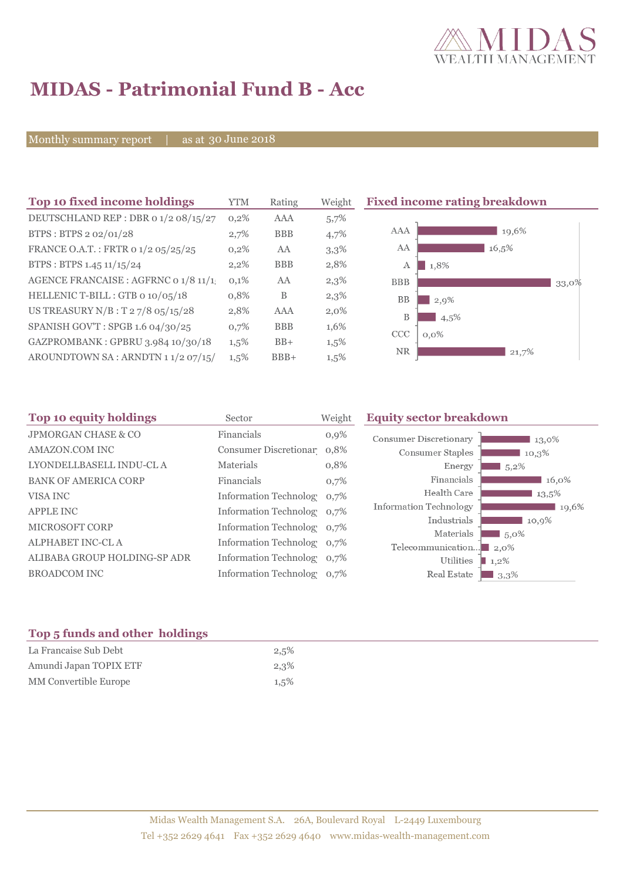

# **MIDAS - Patrimonial Fund B - Acc**

Monthly summary report | as at 30 June 2018

| Top 10 fixed income holdings          | <b>YTM</b> | Rating     | Weight | <b>Fixed incom</b> |
|---------------------------------------|------------|------------|--------|--------------------|
| DEUTSCHLAND REP : DBR 0 1/2 08/15/27  | 0,2%       | AAA        | 5,7%   |                    |
| BTPS: BTPS 2 02/01/28                 | 2,7%       | <b>BBB</b> | 4,7%   | <b>AAA</b>         |
| FRANCE O.A.T.: FRTR 0 1/2 05/25/25    | 0,2%       | AA         | 3,3%   | AA                 |
| BTPS: BTPS 1.45 11/15/24              | 2,2%       | <b>BBB</b> | 2,8%   | А                  |
| AGENCE FRANCAISE : AGFRNC 0 1/8 11/1. | 0,1%       | AA         | 2,3%   | <b>BBB</b>         |
| HELLENIC T-BILL: GTB 0 10/05/18       | 0,8%       | B          | 2,3%   | <b>BB</b>          |
| US TREASURY N/B : T 2 7/8 05/15/28    | 2,8%       | AAA        | 2,0%   | B                  |
| SPANISH GOV'T: SPGB 1.6 04/30/25      | 0,7%       | <b>BBB</b> | 1,6%   | CCC                |
| GAZPROMBANK: GPBRU 3.984 10/30/18     | $1,5\%$    | $BB+$      | 1,5%   | O, C               |
| AROUNDTOWN SA: ARNDTN 11/2 07/15/     | $1,5\%$    | $BBB+$     | 1,5%   | <b>NR</b>          |
|                                       |            |            |        |                    |

### **The Fating breakdown**



| <b>Top 10 equity holdings</b><br>Sector |                            | Weight | <b>Equity sector breakdown</b> |                             |  |
|-----------------------------------------|----------------------------|--------|--------------------------------|-----------------------------|--|
| <b>JPMORGAN CHASE &amp; CO</b>          | Financials                 | 0,9%   | Consumer Discretionary         | 13,0%                       |  |
| AMAZON.COM INC                          | Consumer Discretionar 0,8% |        | Consumer Staples               | 10,3%                       |  |
| LYONDELLBASELL INDU-CL A                | Materials                  | 0,8%   | Energy                         | $5,2\%$                     |  |
| <b>BANK OF AMERICA CORP</b>             | Financials                 | 0,7%   | Financials                     | $16,0\%$                    |  |
| VISA INC                                | Information Technolog 0,7% |        | Health Care                    | 13,5%                       |  |
| <b>APPLE INC</b>                        | Information Technolog 0,7% |        | Information Technology         | 19,6%                       |  |
| MICROSOFT CORP                          | Information Technolog 0,7% |        | Industrials                    | 10,9%                       |  |
| ALPHABET INC-CL A                       | Information Technolog 0,7% |        | Materials<br>Telecommunication | 5,0%<br>$\blacksquare$ 2.0% |  |
| ALIBABA GROUP HOLDING-SP ADR            | Information Technolog 0,7% |        | Utilities                      | $1,2\%$                     |  |
| <b>BROADCOM INC</b>                     | Information Technolog 0,7% |        | Real Estate                    | $13,3\%$                    |  |
|                                         |                            |        |                                |                             |  |

#### **Top 5 funds and other holdings**

| La Francaise Sub Debt  | 2,5%    |
|------------------------|---------|
| Amundi Japan TOPIX ETF | 2,3%    |
| MM Convertible Europe  | $1,5\%$ |